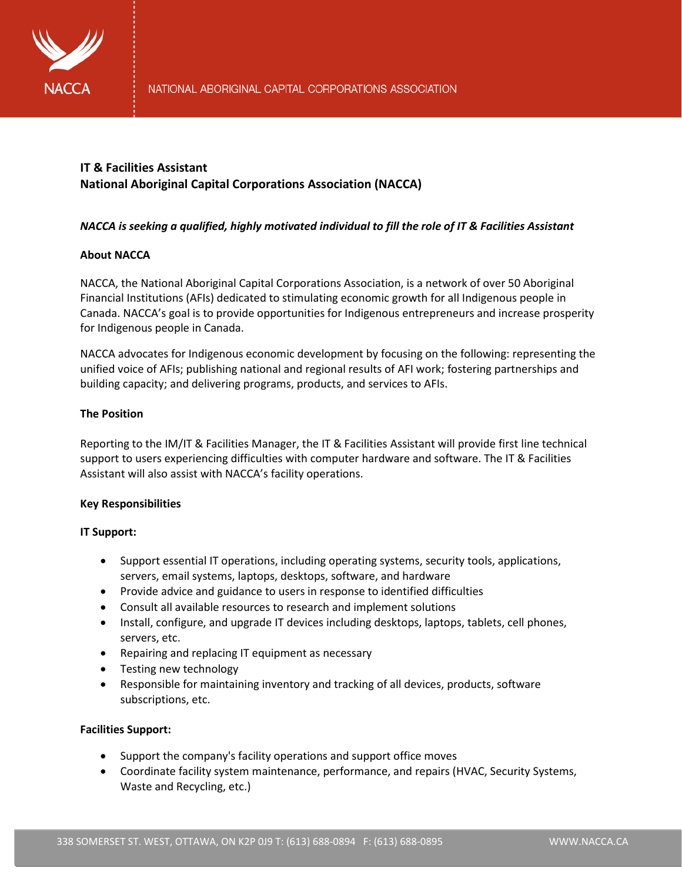

# **IT & Facilities Assistant National Aboriginal Capital Corporations Association (NACCA)**

# *NACCA is seeking a qualified, highly motivated individual to fill the role of IT & Facilities Assistant*

# **About NACCA**

NACCA, the National Aboriginal Capital Corporations Association, is a network of over 50 Aboriginal Financial Institutions (AFIs) dedicated to stimulating economic growth for all Indigenous people in Canada. NACCA's goal is to provide opportunities for Indigenous entrepreneurs and increase prosperity for Indigenous people in Canada.

NACCA advocates for Indigenous economic development by focusing on the following: representing the unified voice of AFIs; publishing national and regional results of AFI work; fostering partnerships and building capacity; and delivering programs, products, and services to AFIs.

# **The Position**

Reporting to the IM/IT & Facilities Manager, the IT & Facilities Assistant will provide first line technical support to users experiencing difficulties with computer hardware and software. The IT & Facilities Assistant will also assist with NACCA's facility operations.

## **Key Responsibilities**

## **IT Support:**

- Support essential IT operations, including operating systems, security tools, applications, servers, email systems, laptops, desktops, software, and hardware
- Provide advice and guidance to users in response to identified difficulties
- Consult all available resources to research and implement solutions
- Install, configure, and upgrade IT devices including desktops, laptops, tablets, cell phones, servers, etc.
- Repairing and replacing IT equipment as necessary
- Testing new technology
- Responsible for maintaining inventory and tracking of all devices, products, software subscriptions, etc.

## **Facilities Support:**

- Support the company's facility operations and support office moves
- Coordinate facility system maintenance, performance, and repairs (HVAC, Security Systems, Waste and Recycling, etc.)